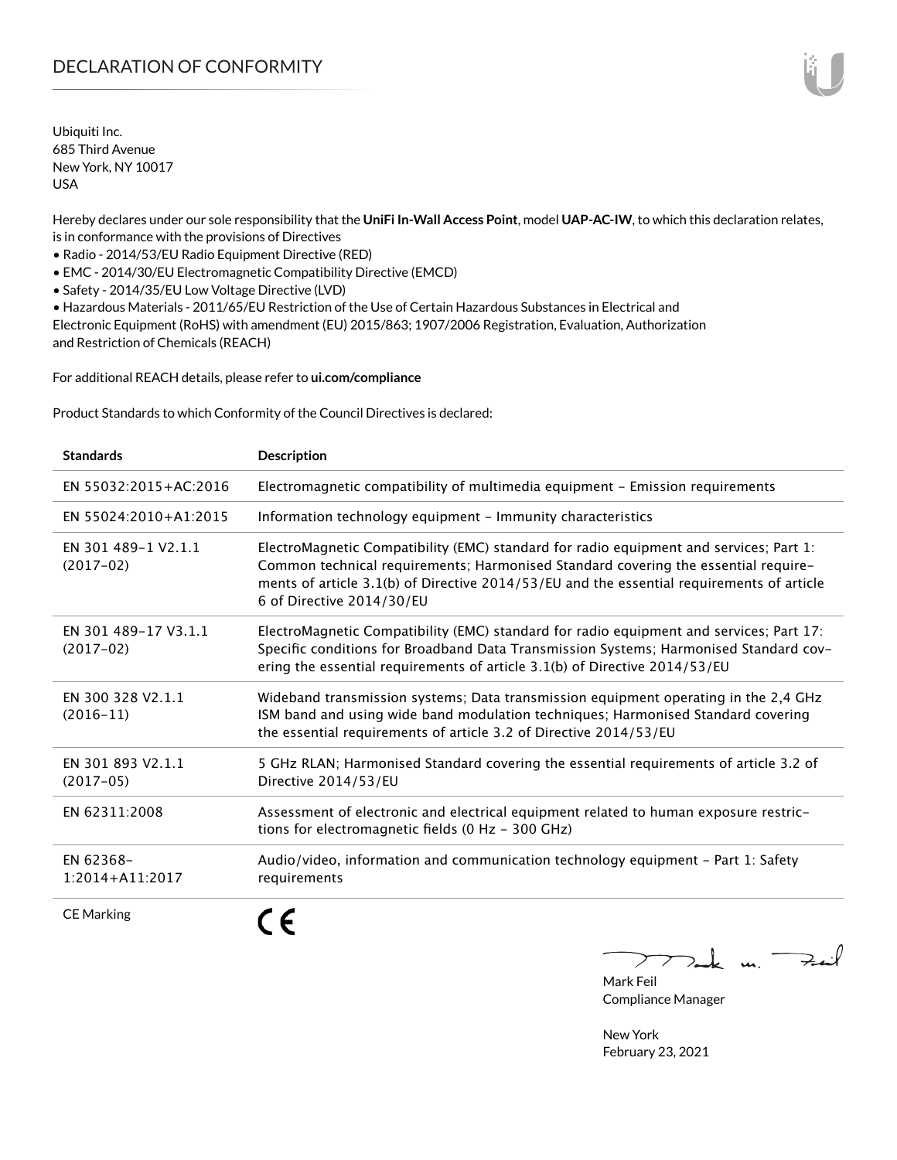Ubiquiti Inc. 685 Third Avenue New York, NY 10017 USA

Hereby declares under our sole responsibility that the **UniFi In-Wall Access Point**, model **UAP-AC-IW**, to which this declaration relates, is in conformance with the provisions of Directives

• Radio - 2014/53/EU Radio Equipment Directive (RED)

• EMC - 2014/30/EU Electromagnetic Compatibility Directive (EMCD)

• Safety - 2014/35/EU Low Voltage Directive (LVD)

• Hazardous Materials - 2011/65/EU Restriction of the Use of Certain Hazardous Substances in Electrical and Electronic Equipment (RoHS) with amendment (EU) 2015/863; 1907/2006 Registration, Evaluation, Authorization and Restriction of Chemicals (REACH)

For additional REACH details, please refer to **[ui.com/compliance](http://ui.com/compliance )**

Product Standards to which Conformity of the Council Directives is declared:

| <b>Standards</b>                    | <b>Description</b>                                                                                                                                                                                                                                                                                     |
|-------------------------------------|--------------------------------------------------------------------------------------------------------------------------------------------------------------------------------------------------------------------------------------------------------------------------------------------------------|
| EN 55032:2015+AC:2016               | Electromagnetic compatibility of multimedia equipment - Emission requirements                                                                                                                                                                                                                          |
| EN 55024:2010+A1:2015               | Information technology equipment - Immunity characteristics                                                                                                                                                                                                                                            |
| FN 301 489-1 V2.1.1<br>$(2017-02)$  | ElectroMagnetic Compatibility (EMC) standard for radio equipment and services; Part 1:<br>Common technical requirements; Harmonised Standard covering the essential require-<br>ments of article 3.1(b) of Directive 2014/53/EU and the essential requirements of article<br>6 of Directive 2014/30/EU |
| EN 301 489-17 V3.1.1<br>$(2017-02)$ | ElectroMagnetic Compatibility (EMC) standard for radio equipment and services; Part 17:<br>Specific conditions for Broadband Data Transmission Systems; Harmonised Standard cov-<br>ering the essential requirements of article 3.1(b) of Directive 2014/53/EU                                         |
| EN 300 328 V2.1.1<br>$(2016 - 11)$  | Wideband transmission systems; Data transmission equipment operating in the 2,4 GHz<br>ISM band and using wide band modulation techniques; Harmonised Standard covering<br>the essential requirements of article 3.2 of Directive 2014/53/EU                                                           |
| EN 301 893 V2.1.1<br>$(2017-05)$    | 5 GHz RLAN; Harmonised Standard covering the essential requirements of article 3.2 of<br>Directive 2014/53/EU                                                                                                                                                                                          |
| EN 62311:2008                       | Assessment of electronic and electrical equipment related to human exposure restric-<br>tions for electromagnetic fields (0 Hz - 300 GHz)                                                                                                                                                              |
| EN 62368-<br>$1:2014 + A11:2017$    | Audio/video, information and communication technology equipment - Part 1: Safety<br>requirements                                                                                                                                                                                                       |
| <b>CE Marking</b>                   |                                                                                                                                                                                                                                                                                                        |

 $u_1$   $\rightarrow$ 

Mark Feil Compliance Manager

New York February 23, 2021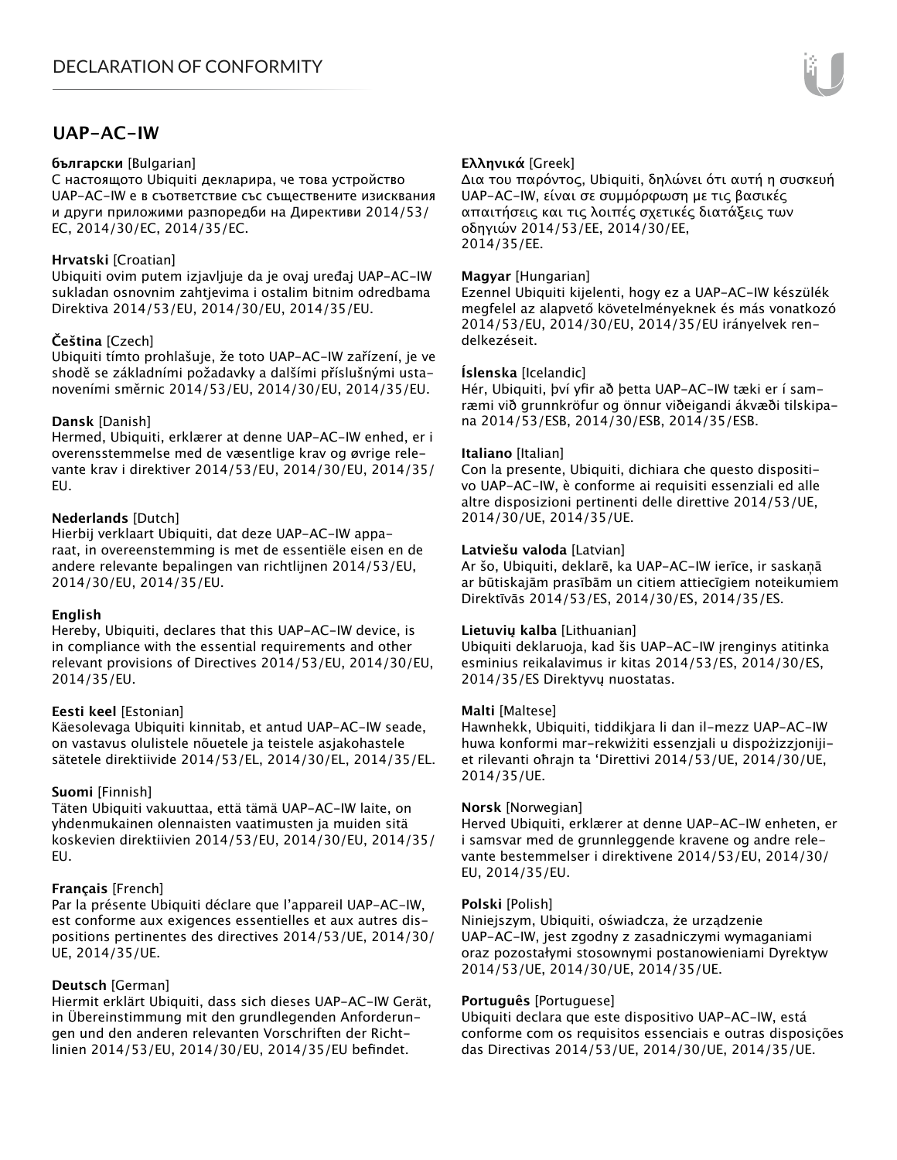# **UAP-AC-IW**

#### **български** [Bulgarian]

С настоящото Ubiquiti декларира, че това устройство UAP-AC-IW е в съответствие със съществените изисквания и други приложими разпоредби на Директиви 2014/53/ EC, 2014/30/ЕС, 2014/35/ЕС.

## **Hrvatski** [Croatian]

Ubiquiti ovim putem izjavljuje da je ovaj uređaj UAP-AC-IW sukladan osnovnim zahtjevima i ostalim bitnim odredbama Direktiva 2014/53/EU, 2014/30/EU, 2014/35/EU.

## **Čeština** [Czech]

Ubiquiti tímto prohlašuje, že toto UAP-AC-IW zařízení, je ve shodě se základními požadavky a dalšími příslušnými ustanoveními směrnic 2014/53/EU, 2014/30/EU, 2014/35/EU.

## **Dansk** [Danish]

Hermed, Ubiquiti, erklærer at denne UAP-AC-IW enhed, er i overensstemmelse med de væsentlige krav og øvrige relevante krav i direktiver 2014/53/EU, 2014/30/EU, 2014/35/ EU.

## **Nederlands** [Dutch]

Hierbij verklaart Ubiquiti, dat deze UAP-AC-IW apparaat, in overeenstemming is met de essentiële eisen en de andere relevante bepalingen van richtlijnen 2014/53/EU, 2014/30/EU, 2014/35/EU.

## **English**

Hereby, Ubiquiti, declares that this UAP-AC-IW device, is in compliance with the essential requirements and other relevant provisions of Directives 2014/53/EU, 2014/30/EU, 2014/35/EU.

## **Eesti keel** [Estonian]

Käesolevaga Ubiquiti kinnitab, et antud UAP-AC-IW seade, on vastavus olulistele nõuetele ja teistele asjakohastele sätetele direktiivide 2014/53/EL, 2014/30/EL, 2014/35/EL.

## **Suomi** [Finnish]

Täten Ubiquiti vakuuttaa, että tämä UAP-AC-IW laite, on yhdenmukainen olennaisten vaatimusten ja muiden sitä koskevien direktiivien 2014/53/EU, 2014/30/EU, 2014/35/ EU.

## **Français** [French]

Par la présente Ubiquiti déclare que l'appareil UAP-AC-IW, est conforme aux exigences essentielles et aux autres dispositions pertinentes des directives 2014/53/UE, 2014/30/ UE, 2014/35/UE.

## **Deutsch** [German]

Hiermit erklärt Ubiquiti, dass sich dieses UAP-AC-IW Gerät, in Übereinstimmung mit den grundlegenden Anforderungen und den anderen relevanten Vorschriften der Richtlinien 2014/53/EU, 2014/30/EU, 2014/35/EU befindet.

## **Ελληνικά** [Greek]

Δια του παρόντος, Ubiquiti, δηλώνει ότι αυτή η συσκευή UAP-AC-IW, είναι σε συμμόρφωση με τις βασικές απαιτήσεις και τις λοιπές σχετικές διατάξεις των οδηγιών 2014/53/EE, 2014/30/EE, 2014/35/EE.

#### **Magyar** [Hungarian]

Ezennel Ubiquiti kijelenti, hogy ez a UAP-AC-IW készülék megfelel az alapvető követelményeknek és más vonatkozó 2014/53/EU, 2014/30/EU, 2014/35/EU irányelvek rendelkezéseit.

## **Íslenska** [Icelandic]

Hér, Ubiquiti, því yfir að þetta UAP-AC-IW tæki er í samræmi við grunnkröfur og önnur viðeigandi ákvæði tilskipana 2014/53/ESB, 2014/30/ESB, 2014/35/ESB.

#### **Italiano** [Italian]

Con la presente, Ubiquiti, dichiara che questo dispositivo UAP-AC-IW, è conforme ai requisiti essenziali ed alle altre disposizioni pertinenti delle direttive 2014/53/UE, 2014/30/UE, 2014/35/UE.

#### **Latviešu valoda** [Latvian]

Ar šo, Ubiquiti, deklarē, ka UAP-AC-IW ierīce, ir saskaņā ar būtiskajām prasībām un citiem attiecīgiem noteikumiem Direktīvās 2014/53/ES, 2014/30/ES, 2014/35/ES.

## **Lietuvių kalba** [Lithuanian]

Ubiquiti deklaruoja, kad šis UAP-AC-IW įrenginys atitinka esminius reikalavimus ir kitas 2014/53/ES, 2014/30/ES, 2014/35/ES Direktyvų nuostatas.

#### **Malti** [Maltese]

Hawnhekk, Ubiquiti, tiddikjara li dan il-mezz UAP-AC-IW huwa konformi mar-rekwiżiti essenzjali u dispożizzjonijiet rilevanti oħrajn ta 'Direttivi 2014/53/UE, 2014/30/UE, 2014/35/UE.

#### **Norsk** [Norwegian]

Herved Ubiquiti, erklærer at denne UAP-AC-IW enheten, er i samsvar med de grunnleggende kravene og andre relevante bestemmelser i direktivene 2014/53/EU, 2014/30/ EU, 2014/35/EU.

#### **Polski** [Polish]

Niniejszym, Ubiquiti, oświadcza, że urządzenie UAP-AC-IW, jest zgodny z zasadniczymi wymaganiami oraz pozostałymi stosownymi postanowieniami Dyrektyw 2014/53/UE, 2014/30/UE, 2014/35/UE.

## **Português** [Portuguese]

Ubiquiti declara que este dispositivo UAP-AC-IW, está conforme com os requisitos essenciais e outras disposições das Directivas 2014/53/UE, 2014/30/UE, 2014/35/UE.